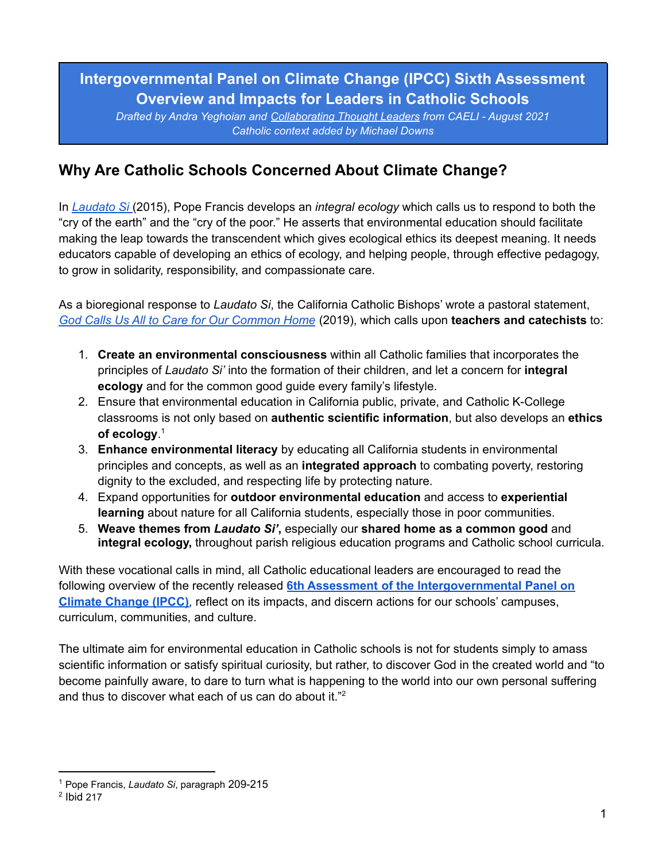# **Intergovernmental Panel on Climate Change (IPCC) Sixth Assessment Overview and Impacts for Leaders in Catholic Schools**

*Drafted by Andra Yeghoian and [Collaborating](#page-11-0) Thought Leaders from CAELI - August 2021 Catholic context added by Michael Downs*

# **Why Are Catholic Schools Concerned About Climate Change?**

In *[Laudato](https://www.vatican.va/content/francesco/en/encyclicals/documents/papa-francesco_20150524_enciclica-laudato-si.html) Si* (2015), Pope Francis develops an *integral ecology* which calls us to respond to both the "cry of the earth" and the "cry of the poor." He asserts that environmental education should facilitate making the leap towards the transcendent which gives ecological ethics its deepest meaning. It needs educators capable of developing an ethics of ecology, and helping people, through effective pedagogy, to grow in solidarity, responsibility, and compassionate care.

As a bioregional response to *Laudato Si*, the California Catholic Bishops' wrote a pastoral statement, *God Calls Us All to Care for Our [Common](https://www.cacatholic.org/common-home) Home* (2019), which calls upon **teachers and catechists** to:

- 1. **Create an environmental consciousness** within all Catholic families that incorporates the principles of *Laudato Si'* into the formation of their children, and let a concern for **integral ecology** and for the common good guide every family's lifestyle.
- 2. Ensure that environmental education in California public, private, and Catholic K-College classrooms is not only based on **authentic scientific information**, but also develops an **ethics of ecology**. 1
- 3. **Enhance environmental literacy** by educating all California students in environmental principles and concepts, as well as an **integrated approach** to combating poverty, restoring dignity to the excluded, and respecting life by protecting nature.
- 4. Expand opportunities for **outdoor environmental education** and access to **experiential learning** about nature for all California students, especially those in poor communities.
- 5. **Weave themes from** *Laudato Si'***,** especially our **shared home as a common good** and **integral ecology,** throughout parish religious education programs and Catholic school curricula.

With these vocational calls in mind, all Catholic educational leaders are encouraged to read the following overview of the recently released **6th Assessment of the [Intergovernmental](https://www.ipcc.ch/assessment-report/ar6/) Panel on Climate [Change](https://www.ipcc.ch/assessment-report/ar6/) (IPCC)**, reflect on its impacts, and discern actions for our schools' campuses, curriculum, communities, and culture.

The ultimate aim for environmental education in Catholic schools is not for students simply to amass scientific information or satisfy spiritual curiosity, but rather, to discover God in the created world and "to become painfully aware, to dare to turn what is happening to the world into our own personal suffering and thus to discover what each of us can do about it." 2

<sup>1</sup> Pope Francis, *Laudato Si*, paragraph 209-215

 $2$  Ibid 217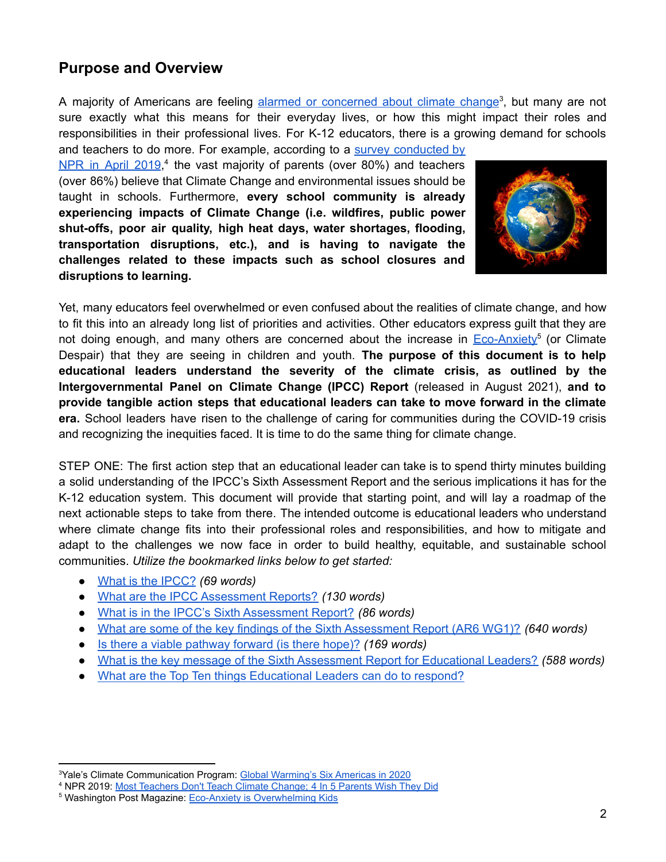## **Purpose and Overview**

A majority of Americans are feeling alarmed or [concerned](https://climatecommunication.yale.edu/about/projects/global-warmings-six-americas/) about climate change<sup>3</sup>, but many are not sure exactly what this means for their everyday lives, or how this might impact their roles and responsibilities in their professional lives. For K-12 educators, there is a growing demand for schools

and teachers to do more. For example, according to a survey [conducted](https://www.npr.org/2019/04/22/714262267/most-teachers-dont-teach-climate-change-4-in-5-parents-wish-they-did) by NPR in April [2019](https://www.npr.org/2019/04/22/714262267/most-teachers-dont-teach-climate-change-4-in-5-parents-wish-they-did),<sup>4</sup> the vast majority of parents (over 80%) and teachers (over 86%) believe that Climate Change and environmental issues should be taught in schools. Furthermore, **every school community is already experiencing impacts of Climate Change (i.e. wildfires, public power shut-offs, poor air quality, high heat days, water shortages, flooding, transportation disruptions, etc.), and is having to navigate the challenges related to these impacts such as school closures and disruptions to learning.**



Yet, many educators feel overwhelmed or even confused about the realities of climate change, and how to fit this into an already long list of priorities and activities. Other educators express guilt that they are not doing enough, and many others are concerned about the increase in [Eco-Anxiety](https://www.washingtonpost.com/magazine/2020/02/03/eco-anxiety-is-overwhelming-kids-wheres-line-between-education-alarmism/)<sup>5</sup> (or Climate Despair) that they are seeing in children and youth. **The purpose of this document is to help educational leaders understand the severity of the climate crisis, as outlined by the Intergovernmental Panel on Climate Change (IPCC) Report** (released in August 2021), **and to provide tangible action steps that educational leaders can take to move forward in the climate era.** School leaders have risen to the challenge of caring for communities during the COVID-19 crisis and recognizing the inequities faced. It is time to do the same thing for climate change.

STEP ONE: The first action step that an educational leader can take is to spend thirty minutes building a solid understanding of the IPCC's Sixth Assessment Report and the serious implications it has for the K-12 education system. This document will provide that starting point, and will lay a roadmap of the next actionable steps to take from there. The intended outcome is educational leaders who understand where climate change fits into their professional roles and responsibilities, and how to mitigate and adapt to the challenges we now face in order to build healthy, equitable, and sustainable school communities. *Utilize the bookmarked links below to get started:*

- What is the [IPCC?](#page-2-0) *(69 words)*
- What are the IPCC [Assessment](#page-2-1) Reports? *(130 words)*
- What is in the IPCC's Sixth [Assessment](#page-2-2) Report? *(86 words)*
- What are some of the key findings of the Sixth [Assessment](#page-2-3) Report (AR6 WG1)? *(640 words)*
- Is there a viable [pathway](#page-4-0) forward (is there hope)? *(169 words)*
- What is the key message of the Sixth [Assessment](#page-4-1) Report for Educational Leaders? *(588 words)*
- What are the Top Ten things [Educational](#page-6-0) Leaders can do to respond?

<sup>3</sup>Yale's Climate Communication Program: Global Warming's [Six Americas in 2020](https://climatecommunication.yale.edu/about/projects/global-warmings-six-americas/)

<sup>4</sup> NPR 2019: [Most Teachers Don't Teach Climate Change;](https://www.npr.org/2019/04/22/714262267/most-teachers-dont-teach-climate-change-4-in-5-parents-wish-they-did) 4 In 5 Parents Wish They Did

<sup>&</sup>lt;sup>5</sup> Washington Post Magazine: [Eco-Anxiety is Overwhelming](https://www.washingtonpost.com/magazine/2020/02/03/eco-anxiety-is-overwhelming-kids-wheres-line-between-education-alarmism/) Kids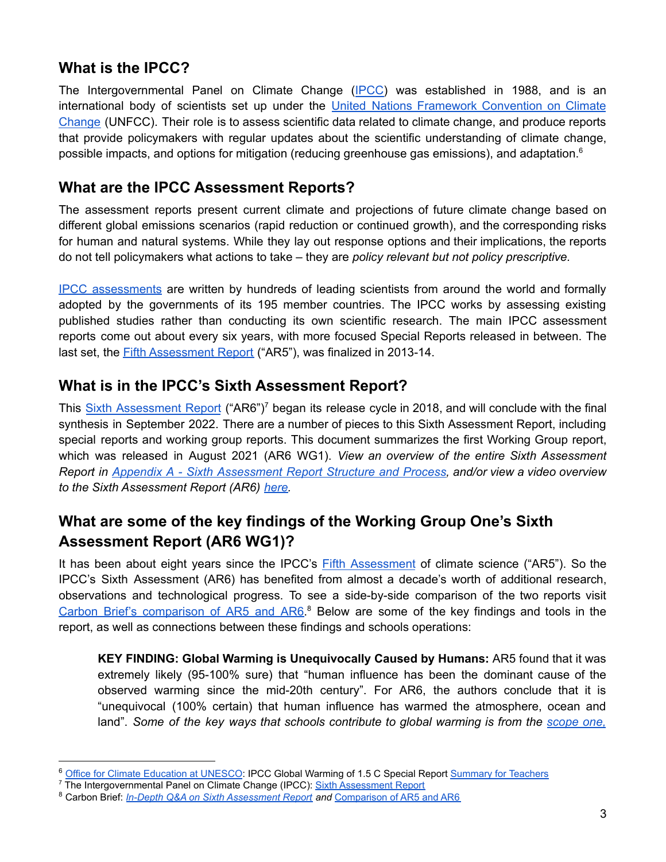### <span id="page-2-0"></span>**What is the IPCC?**

The Intergovernmental Panel on Climate Change ([IPCC\)](https://www.ipcc.ch/) was established in 1988, and is an international body of scientists set up under the United Nations Framework [Convention](https://unfccc.int/) on Climate [Change](https://unfccc.int/) (UNFCC). Their role is to assess scientific data related to climate change, and produce reports that provide policymakers with regular updates about the scientific understanding of climate change, possible impacts, and options for mitigation (reducing greenhouse gas emissions), and adaptation.<sup>6</sup>

## <span id="page-2-1"></span>**What are the IPCC Assessment Reports?**

The assessment reports present current climate and projections of future climate change based on different global emissions scenarios (rapid reduction or continued growth), and the corresponding risks for human and natural systems. While they lay out response options and their implications, the reports do not tell policymakers what actions to take – they are *policy relevant but not policy prescriptive.*

IPCC [assessments](https://www.ipcc.ch/reports/) are written by hundreds of leading scientists from around the world and formally adopted by the governments of its 195 member countries. The IPCC works by assessing existing published studies rather than conducting its own scientific research. The main IPCC assessment reports come out about every six years, with more focused Special Reports released in between. The last set, the **Fifth [Assessment](https://www.ipcc.ch/assessment-report/ar5/) Report** ("AR5"), was finalized in 2013-14.

## <span id="page-2-2"></span>**What is in the IPCC's Sixth Assessment Report?**

This Sixth [Assessment](https://www.ipcc.ch/assessment-report/ar6/) Report ("AR6")<sup>7</sup> began its release cycle in 2018, and will conclude with the final synthesis in September 2022. There are a number of pieces to this Sixth Assessment Report, including special reports and working group reports. This document summarizes the first Working Group report, which was released in August 2021 (AR6 WG1). *View an overview of the entire Sixth Assessment Report in Appendix A - Sixth [Assessment](#page-10-0) Report Structure and Process, and/or view a video overview to the Sixth Assessment Report (AR6) [here.](https://vimeo.com/561313700)*

# <span id="page-2-3"></span>**What are some of the key findings of the Working Group One's Sixth Assessment Report (AR6 WG1)?**

It has been about eight years since the IPCC's Fifth [Assessment](https://www.ipcc.ch/report/ar5/wg1/) of climate science ("AR5"). So the IPCC's Sixth Assessment (AR6) has benefited from almost a decade's worth of additional research, observations and technological progress. To see a side-by-side comparison of the two reports visit Carbon Brief's [comparison](https://www.carbonbrief.org/ipcc-how-the-ar6-wg1-summary-for-policymakers-compares-to-its-predecessor) of AR5 and AR6.<sup>8</sup> Below are some of the key findings and tools in the report, as well as connections between these findings and schools operations:

**KEY FINDING: Global Warming is Unequivocally Caused by Humans:** AR5 found that it was extremely likely (95-100% sure) that "human influence has been the dominant cause of the observed warming since the mid-20th century". For AR6, the authors conclude that it is "unequivocal (100% certain) that human influence has warmed the atmosphere, ocean and land". *Some of the key ways that schools contribute to global warming is from the [scope](https://www.epa.gov/climateleadership/scope-1-and-scope-2-inventory-guidance) one,*

<sup>6</sup> [Office for Climate Education at UNESCO](https://www.oce.global/en): IPCC Global Warming of 1.5 C Special Report [Summary for Teachers](https://www.oce.global/sites/default/files/2019-04/ST1.5_final_040419.pdf)

<sup>&</sup>lt;sup>7</sup> The Intergovernmental Panel on Climate Change (IPCC): [Sixth Assessment Report](https://www.ipcc.ch/report/ar6/wg1/)

<sup>8</sup> Carbon Brief: *[In-Depth Q&A on Sixth Assessment Report](https://www.carbonbrief.org/in-depth-qa-the-ipccs-sixth-assessment-report-on-climate-science) and* [Comparison of AR5 and AR6](https://www.carbonbrief.org/ipcc-how-the-ar6-wg1-summary-for-policymakers-compares-to-its-predecessor)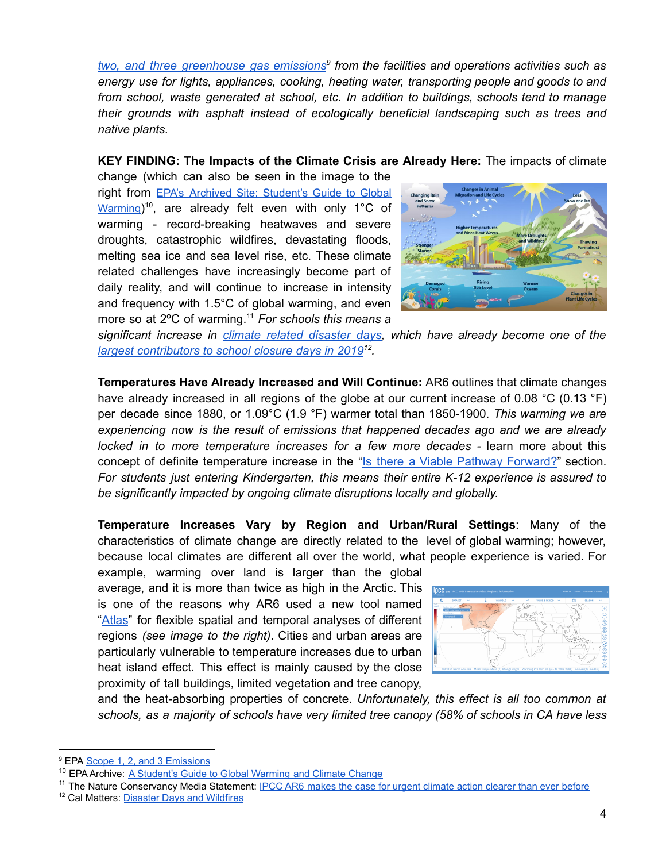*two, and three [greenhouse](https://www.epa.gov/climateleadership/scope-1-and-scope-2-inventory-guidance) gas emissions 9 from the facilities and operations activities such as energy use for lights, appliances, cooking, heating water, transporting people and goods to and from school, waste generated at school, etc. In addition to buildings, schools tend to manage their grounds with asphalt instead of ecologically beneficial landscaping such as trees and native plants.*

#### **KEY FINDING: The Impacts of the Climate Crisis are Already Here:** The impacts of climate

change (which can also be seen in the image to the right from EPA's Archived Site: [Student's](https://archive.epa.gov/climatechange/kids/index.html) Guide to Global [Warming](https://archive.epa.gov/climatechange/kids/index.html))<sup>10</sup>, are already felt even with only 1°C of warming - record-breaking heatwaves and severe droughts, catastrophic wildfires, devastating floods, melting sea ice and sea level rise, etc. These climate related challenges have increasingly become part of daily reality, and will continue to increase in intensity and frequency with 1.5°C of global warming, and even more so at 2ºC of warming. <sup>11</sup> *For schools this means a*



*significant increase in climate related [disaster](https://disasterdays.calmatters.org/california-school-closures/category/wildfires/) days, which have already become one of the largest [contributors](https://calmatters.org/projects/school-closures-california-wildfire-outage-flood-water-electricity-guns-snow-days-disaster/) to school closure days in 2019 12 .*

**Temperatures Have Already Increased and Will Continue:** AR6 outlines that climate changes have already increased in all regions of the globe at our current increase of 0.08 °C (0.13 °F) per decade since 1880, or 1.09°C (1.9 °F) warmer total than 1850-1900. *This warming we are experiencing now is the result of emissions that happened decades ago and we are already locked in to more temperature increases for a few more decades -* learn more about this concept of definite temperature increase in the "Is there a Viable Pathway [Forward?](#page-4-0)" section. *For students just entering Kindergarten, this means their entire K-12 experience is assured to be significantly impacted by ongoing climate disruptions locally and globally.*

**Temperature Increases Vary by Region and Urban/Rural Settings**: Many of the characteristics of climate change are directly related to the level of global warming; however, because local climates are different all over the world, what people experience is varied. For

example, warming over land is larger than the global average, and it is more than twice as high in the Arctic. This is one of the reasons why AR6 used a new tool named "[Atlas](https://interactive-atlas.ipcc.ch/)" for flexible spatial and temporal analyses of different regions *(see image to the right)*. Cities and urban areas are particularly vulnerable to temperature increases due to urban heat island effect. This effect is mainly caused by the close proximity of tall buildings, limited vegetation and tree canopy,



and the heat-absorbing properties of concrete. *Unfortunately, this effect is all too common at schools, as a majority of schools have very limited tree canopy (58% of schools in CA have less*

<sup>&</sup>lt;sup>9</sup> EPA [Scope 1, 2, and 3 Emissions](https://www.epa.gov/climateleadership/scope-1-and-scope-2-inventory-guidance)

<sup>&</sup>lt;sup>10</sup> EPA Archive: [A Student's Guide to Global Warming](https://archive.epa.gov/climatechange/kids/index.html) and Climate Change

<sup>&</sup>lt;sup>11</sup> The Nature Conservancy Media Statement: IPCC AR6 [makes the case for urgent climate action clearer than ever before](https://www.nature.org/en-us/newsroom/katharine-hayhoe-media-statement-ipcc-ar6/)

<sup>12</sup> Cal Matters: [Disaster Days and Wildfires](https://calmatters.org/projects/school-closures-california-wildfire-outage-flood-water-electricity-guns-snow-days-disaster/)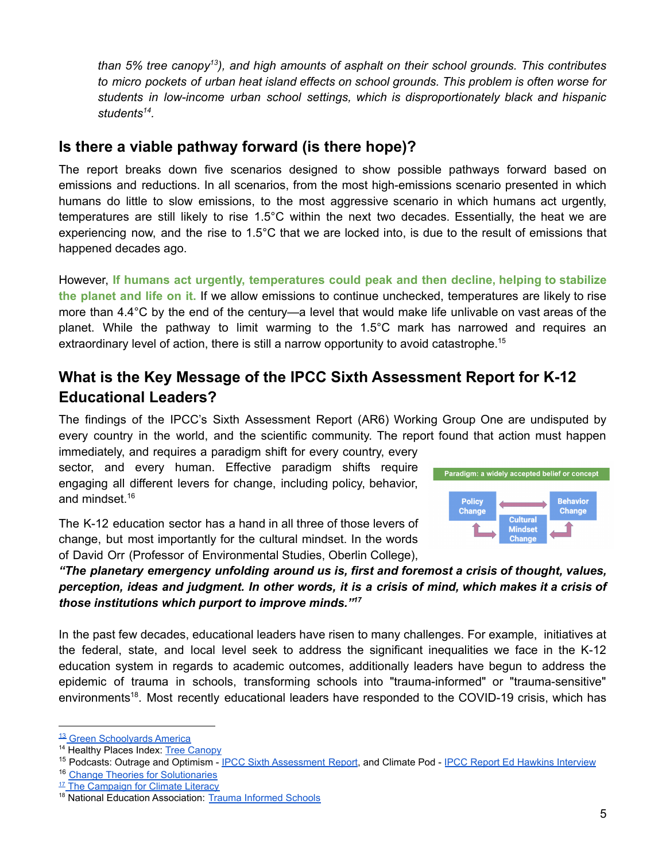*than 5% tree canopy 13 ), and high amounts of asphalt on their school grounds. This contributes to micro pockets of urban heat island effects on school grounds. This problem is often worse for students in low-income urban school settings, which is disproportionately black and hispanic students 14 .*

### <span id="page-4-0"></span>**Is there a viable pathway forward (is there hope)?**

The report breaks down five scenarios designed to show possible pathways forward based on emissions and reductions. In all scenarios, from the most high-emissions scenario presented in which humans do little to slow emissions, to the most aggressive scenario in which humans act urgently, temperatures are still likely to rise 1.5°C within the next two decades. Essentially, the heat we are experiencing now, and the rise to 1.5°C that we are locked into, is due to the result of emissions that happened decades ago.

However, **If humans act urgently, temperatures could peak and then decline, helping to stabilize the planet and life on it.** If we allow emissions to continue unchecked, temperatures are likely to rise more than 4.4°C by the end of the century—a level that would make life unlivable on vast areas of the planet. While the pathway to limit warming to the 1.5°C mark has narrowed and requires an extraordinary level of action, there is still a narrow opportunity to avoid catastrophe.<sup>15</sup>

# <span id="page-4-1"></span>**What is the Key Message of the IPCC Sixth Assessment Report for K-12 Educational Leaders?**

The findings of the IPCC's Sixth Assessment Report (AR6) Working Group One are undisputed by every country in the world, and the scientific community. The report found that action must happen immediately, and requires a paradigm shift for every country, every

sector, and every human. Effective paradigm shifts require engaging all different levers for change, including policy, behavior, and mindset. 16

The K-12 education sector has a hand in all three of those levers of change, but most importantly for the cultural mindset. In the words of David Orr (Professor of Environmental Studies, Oberlin College),



*"The planetary emergency unfolding around us is, first and foremost a crisis of thought, values,* perception, ideas and judgment. In other words, it is a crisis of mind, which makes it a crisis of *those institutions which purport to improve minds." 17*

In the past few decades, educational leaders have risen to many challenges. For example, initiatives at the federal, state, and local level seek to address the significant inequalities we face in the K-12 education system in regards to academic outcomes, additionally leaders have begun to address the epidemic of trauma in schools, transforming schools into "trauma-informed" or "trauma-sensitive" environments<sup>18</sup>. Most recently educational leaders have responded to the COVID-19 crisis, which has

<sup>&</sup>lt;sup>13</sup> Green Schoolvards America

<sup>14</sup> Healthy Places Index: [Tree Canopy](https://healthyplacesindex.org/policy-actions/tree-canopy/)

<sup>&</sup>lt;sup>15</sup> Podcasts: Outrage and Optimism - [IPCC Sixth Assessment](http://www.globaloptimism.com/blog/the-ipcc-sixth-assessment-is-a-call-to-break-the-mental-boundaries-holding-us-back?__hstc=74073165.b4363ebdbb473ef68e0b597d30aae8cd.1628883008128.1628883008128.1628883008128.1&__hssc=74073165.13.1628883008128&__hsfp=2796856593) Report, and Climate Pod - [IPCC Report Ed Hawkins](https://podcasts.apple.com/us/podcast/the-ipccs-new-report-climate-change-2021-the/id1469270123?i=1000531493282) Interview

<sup>&</sup>lt;sup>16</sup> [Change Theories for Solutionaries](https://docs.google.com/document/d/19GvLs58o4j2PBeSoyi5eQZlO5erSBoaQRAIMD30Wpfo/edit)

<sup>&</sup>lt;sup>17</sup> [The Campaign for Climate Literacy](https://climate-literacy.org/about-us/our-mission/)

<sup>&</sup>lt;sup>18</sup> National Education Association: [Trauma Informed Schools](https://www.nea.org/professional-excellence/student-engagement/trauma-informed-schools)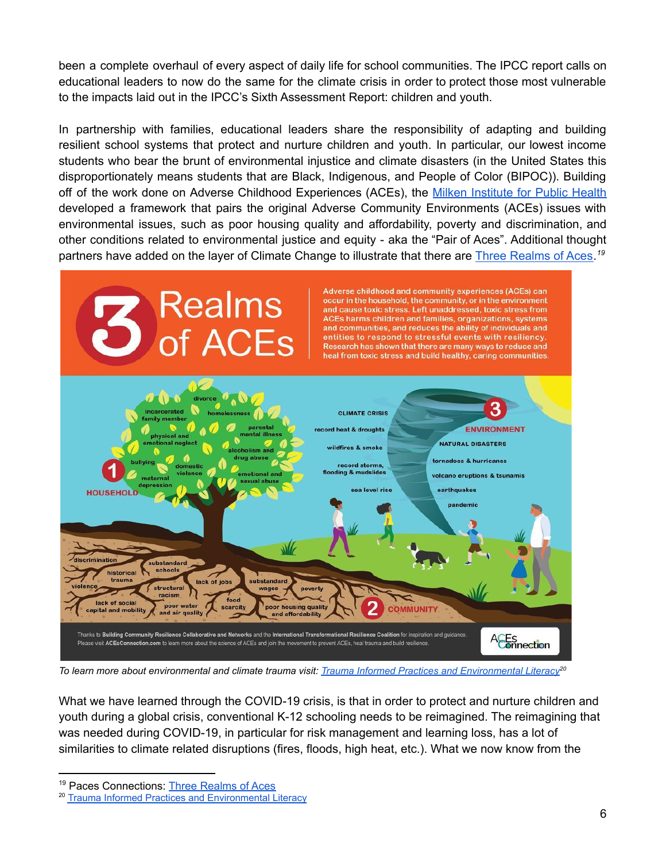been a complete overhaul of every aspect of daily life for school communities. The IPCC report calls on educational leaders to now do the same for the climate crisis in order to protect those most vulnerable to the impacts laid out in the IPCC's Sixth Assessment Report: children and youth.

In partnership with families, educational leaders share the responsibility of adapting and building resilient school systems that protect and nurture children and youth. In particular, our lowest income students who bear the brunt of environmental injustice and climate disasters (in the United States this disproportionately means students that are Black, Indigenous, and People of Color (BIPOC)). Building off of the work done on Adverse Childhood Experiences (ACEs), the Milken [Institute](https://publichealth.gwu.edu/sites/default/files/downloads/Redstone-Center/Resource%20Description_Pair%20of%20ACEs%20Tree.pdf) for Public Health developed a framework that pairs the original Adverse Community Environments (ACEs) issues with environmental issues, such as poor housing quality and affordability, poverty and discrimination, and other conditions related to environmental justice and equity - aka the "Pair of Aces". Additional thought partners have added on the layer of Climate Change to illustrate that there are Three [Realms](https://www.acesconnection.com/g/resource-center/blog/3-realms-of-aces-handout) of Aces*. 19*



*To learn more about environmental and climate trauma visit: [Trauma Informed Practices and Environmental](https://docs.google.com/document/d/18Ja-cp1kWOOvhyKhEliAePLX6l40hBJp8kUbhyzTB5Q/edit) Literacy<sup>20</sup>*

What we have learned through the COVID-19 crisis, is that in order to protect and nurture children and youth during a global crisis, conventional K-12 schooling needs to be reimagined. The reimagining that was needed during COVID-19, in particular for risk management and learning loss, has a lot of similarities to climate related disruptions (fires, floods, high heat, etc.). What we now know from the

<sup>19</sup> Paces Connections: Three [Realms](https://www.pacesconnection.com/g/resource-center/blog/3-realms-of-aces-handout) of Aces

<sup>20</sup> [Trauma Informed Practices and Environmental Literacy](https://docs.google.com/document/d/18Ja-cp1kWOOvhyKhEliAePLX6l40hBJp8kUbhyzTB5Q/edit)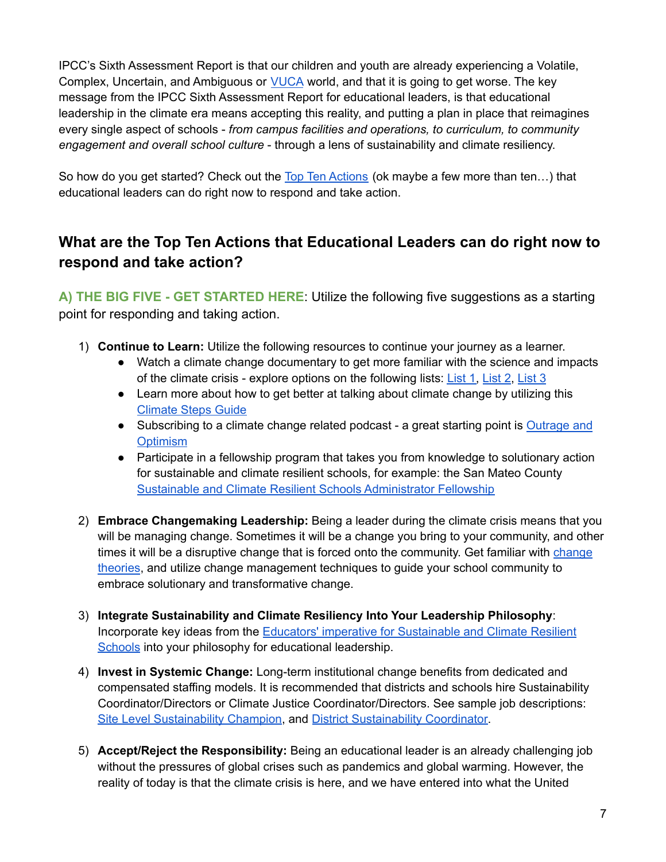IPCC's Sixth Assessment Report is that our children and youth are already experiencing a Volatile, Complex, Uncertain, and Ambiguous or **[VUCA](https://hbr.org/2014/01/what-vuca-really-means-for-you)** world, and that it is going to get worse. The key message from the IPCC Sixth Assessment Report for educational leaders, is that educational leadership in the climate era means accepting this reality, and putting a plan in place that reimagines every single aspect of schools - *from campus facilities and operations, to curriculum, to community engagement and overall school culture* - through a lens of sustainability and climate resiliency.

So how do you get started? Check out the Top Ten [Actions](#page-6-0) (ok maybe a few more than ten...) that educational leaders can do right now to respond and take action.

# <span id="page-6-0"></span>**What are the Top Ten Actions that Educational Leaders can do right now to respond and take action?**

**A) THE BIG FIVE - GET STARTED HERE**: Utilize the following five suggestions as a starting point for responding and taking action.

- 1) **Continue to Learn:** Utilize the following resources to continue your journey as a learner.
	- Watch a climate change documentary to get more familiar with the science and impacts of the climate crisis - explore options on the following lists: [List](https://ideas.ted.com/12-films-and-series-that-will-give-you-an-up-close-look-at-climate-change-and-some-solutions/) 1, [List](https://yaleclimateconnections.org/2020/03/seven-of-the-best-new-documentaries-about-global-warming/) 2, [List](https://www.trvst.world/climate-change/documentaries/) 3
	- Learn more about how to get better at talking about climate change by utilizing this [Climate](https://climatesteps.org/2021/08/09/the-6th-ipcc-report-share-it-heres-how/?fbclid=IwAR1V3GsWKLX6nAGU3YAZ46_1_JMgrPnc1Uauy_qbgRTfnPhYjVXYvWm3aVA) Steps Guide
	- Subscribing to a climate change related podcast a great starting point is [Outrage](http://www.outrageandoptimism.org/) and **[Optimism](http://www.outrageandoptimism.org/)**
	- Participate in a fellowship program that takes you from knowledge to solutionary action for sustainable and climate resilient schools, for example: the San Mateo County Sustainable and Climate Resilient Schools [Administrator](https://sites.google.com/smcoe.org/SCRS-AF) Fellowship
- 2) **Embrace Changemaking Leadership:** Being a leader during the climate crisis means that you will be managing change. Sometimes it will be a change you bring to your community, and other times it will be a disruptive [change](https://docs.google.com/document/d/19GvLs58o4j2PBeSoyi5eQZlO5erSBoaQRAIMD30Wpfo/edit) that is forced onto the community. Get familiar with change [theories](https://docs.google.com/document/d/19GvLs58o4j2PBeSoyi5eQZlO5erSBoaQRAIMD30Wpfo/edit), and utilize change management techniques to guide your school community to embrace solutionary and transformative change.
- 3) **Integrate Sustainability and Climate Resiliency Into Your Leadership Philosophy**: Incorporate key ideas from the Educators' imperative for [Sustainable](https://sites.google.com/view/scrs-center/imperative-for-educators) and Climate Resilient [Schools](https://sites.google.com/view/scrs-center/imperative-for-educators) into your philosophy for educational leadership.
- 4) **Invest in Systemic Change:** Long-term institutional change benefits from dedicated and compensated staffing models. It is recommended that districts and schools hire Sustainability Coordinator/Directors or Climate Justice Coordinator/Directors. See sample job descriptions: Site Level [Sustainability](https://docs.google.com/document/d/1Cf3owq0zam_GxkgCJuHOppIZLY2_Hqppyp_OitRG6yw/edit) Champion, and District [Sustainability](https://docs.google.com/document/d/1pw7iS_LOL6zw2LkmJMqUo-ohGlKX5UPZDsDS0yDDMPk/edit) Coordinator.
- 5) **Accept/Reject the Responsibility:** Being an educational leader is an already challenging job without the pressures of global crises such as pandemics and global warming. However, the reality of today is that the climate crisis is here, and we have entered into what the United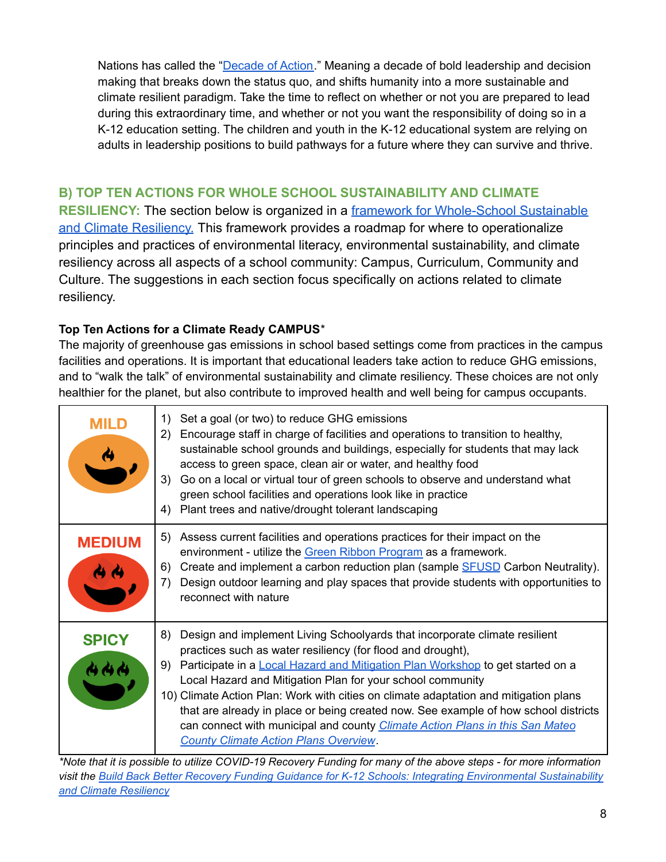Nations has called the "[Decade](https://www.un.org/sustainabledevelopment/decade-of-action/) of Action." Meaning a decade of bold leadership and decision making that breaks down the status quo, and shifts humanity into a more sustainable and climate resilient paradigm. Take the time to reflect on whether or not you are prepared to lead during this extraordinary time, and whether or not you want the responsibility of doing so in a K-12 education setting. The children and youth in the K-12 educational system are relying on adults in leadership positions to build pathways for a future where they can survive and thrive.

#### **B) TOP TEN ACTIONS FOR WHOLE SCHOOL SUSTAINABILITY AND CLIMATE**

**RESILIENCY:** The section below is organized in a framework [for Whole-School Sustainable](https://sites.google.com/view/scrs-center/vision-and-framework/4cs-framework) [and Climate Resiliency.](https://sites.google.com/view/scrs-center/vision-and-framework/4cs-framework) This framework provides a roadmap for where to operationalize principles and practices of environmental literacy, environmental sustainability, and climate resiliency across all aspects of a school community: Campus, Curriculum, Community and Culture. The suggestions in each section focus specifically on actions related to climate resiliency.

#### **Top Ten Actions for a Climate Ready CAMPUS**\*

The majority of greenhouse gas emissions in school based settings come from practices in the campus facilities and operations. It is important that educational leaders take action to reduce GHG emissions, and to "walk the talk" of environmental sustainability and climate resiliency. These choices are not only healthier for the planet, but also contribute to improved health and well being for campus occupants.

| <b>MILD</b>   | Set a goal (or two) to reduce GHG emissions<br>1)<br>Encourage staff in charge of facilities and operations to transition to healthy,<br>(2)<br>sustainable school grounds and buildings, especially for students that may lack<br>access to green space, clean air or water, and healthy food<br>3)<br>Go on a local or virtual tour of green schools to observe and understand what<br>green school facilities and operations look like in practice<br>Plant trees and native/drought tolerant landscaping<br>4)                                                                                                          |
|---------------|-----------------------------------------------------------------------------------------------------------------------------------------------------------------------------------------------------------------------------------------------------------------------------------------------------------------------------------------------------------------------------------------------------------------------------------------------------------------------------------------------------------------------------------------------------------------------------------------------------------------------------|
| <b>MEDIUM</b> | Assess current facilities and operations practices for their impact on the<br>5)<br>environment - utilize the Green Ribbon Program as a framework.<br>Create and implement a carbon reduction plan (sample SFUSD Carbon Neutrality).<br>6)<br>Design outdoor learning and play spaces that provide students with opportunities to<br>7)<br>reconnect with nature                                                                                                                                                                                                                                                            |
| <b>SPICY</b>  | Design and implement Living Schoolyards that incorporate climate resilient<br>8)<br>practices such as water resiliency (for flood and drought),<br>Participate in a Local Hazard and Mitigation Plan Workshop to get started on a<br>9)<br>Local Hazard and Mitigation Plan for your school community<br>10) Climate Action Plan: Work with cities on climate adaptation and mitigation plans<br>that are already in place or being created now. See example of how school districts<br>can connect with municipal and county <i>Climate Action Plans in this San Mateo</i><br><b>County Climate Action Plans Overview.</b> |

\*Note that it is possible to utilize COVID-19 Recovery Funding for many of the above steps - for more information *visit the Build Back Better Recovery Funding Guidance for K-12 Schools: Integrating [Environmental](https://docs.google.com/document/d/1JU3nDPp8zIvU2WxE9nq3zk4RCDAfb5BMQc4RQP9sHes/edit) Sustainability and Climate [Resiliency](https://docs.google.com/document/d/1JU3nDPp8zIvU2WxE9nq3zk4RCDAfb5BMQc4RQP9sHes/edit)*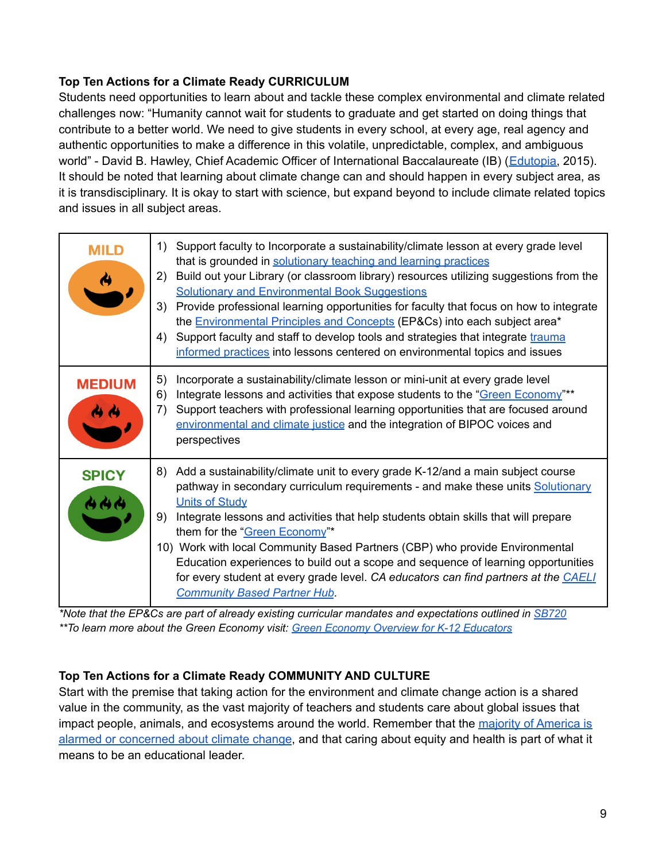#### **Top Ten Actions for a Climate Ready CURRICULUM**

Students need opportunities to learn about and tackle these complex environmental and climate related challenges now: "Humanity cannot wait for students to graduate and get started on doing things that contribute to a better world. We need to give students in every school, at every age, real agency and authentic opportunities to make a difference in this volatile, unpredictable, complex, and ambiguous world" - David B. Hawley, Chief Academic Officer of International Baccalaureate (IB) ([Edutopia,](https://www.edutopia.org/blog/stop-start-continue-conceptual-meets-applied-david-hawley) 2015). It should be noted that learning about climate change can and should happen in every subject area, as it is transdisciplinary. It is okay to start with science, but expand beyond to include climate related topics and issues in all subject areas.

| <b>MILD</b><br>$\rightarrow$ | Support faculty to Incorporate a sustainability/climate lesson at every grade level<br>1)<br>that is grounded in solutionary teaching and learning practices<br>Build out your Library (or classroom library) resources utilizing suggestions from the<br>(2)<br><b>Solutionary and Environmental Book Suggestions</b><br>Provide professional learning opportunities for faculty that focus on how to integrate<br>3)<br>the <b>Environmental Principles and Concepts</b> (EP&Cs) into each subject area*<br>Support faculty and staff to develop tools and strategies that integrate trauma<br>4)<br>informed practices into lessons centered on environmental topics and issues |
|------------------------------|------------------------------------------------------------------------------------------------------------------------------------------------------------------------------------------------------------------------------------------------------------------------------------------------------------------------------------------------------------------------------------------------------------------------------------------------------------------------------------------------------------------------------------------------------------------------------------------------------------------------------------------------------------------------------------|
| <b>MEDIUM</b>                | 5)<br>Incorporate a sustainability/climate lesson or mini-unit at every grade level<br>Integrate lessons and activities that expose students to the "Green Economy"**<br>6)<br>Support teachers with professional learning opportunities that are focused around<br>7)<br>environmental and climate justice and the integration of BIPOC voices and<br>perspectives                                                                                                                                                                                                                                                                                                                |
| <b>SPICY</b><br>444          | Add a sustainability/climate unit to every grade K-12/and a main subject course<br>8)<br>pathway in secondary curriculum requirements - and make these units Solutionary<br><b>Units of Study</b><br>Integrate lessons and activities that help students obtain skills that will prepare<br>9)<br>them for the "Green Economy"*<br>10) Work with local Community Based Partners (CBP) who provide Environmental<br>Education experiences to build out a scope and sequence of learning opportunities<br>for every student at every grade level. CA educators can find partners at the CAELI<br><b>Community Based Partner Hub.</b>                                                 |

*\*Note that the EP&Cs are part of already existing curricular mandates and expectations outlined in [SB720](https://docs.google.com/document/d/1pbt4DyukdvVWKsAym24YPNRBahZDYhS9sDmAZHdllIw/edit) \*\*To learn more about the Green Economy visit: Green Economy Overview for K-12 [Educators](https://docs.google.com/document/d/1Lqc8Mn-suldDrmYHWxLKdFCqwfDxe7OKi6jlG7cuiCA/edit)*

#### **Top Ten Actions for a Climate Ready COMMUNITY AND CULTURE**

Start with the premise that taking action for the environment and climate change action is a shared value in the community, as the vast majority of teachers and students care about global issues that impact people, animals, and ecosystems around the world. Remember that the majority of [America](https://climatecommunication.yale.edu/about/projects/global-warmings-six-americas/) is alarmed or [concerned](https://climatecommunication.yale.edu/about/projects/global-warmings-six-americas/) about climate change, and that caring about equity and health is part of what it means to be an educational leader.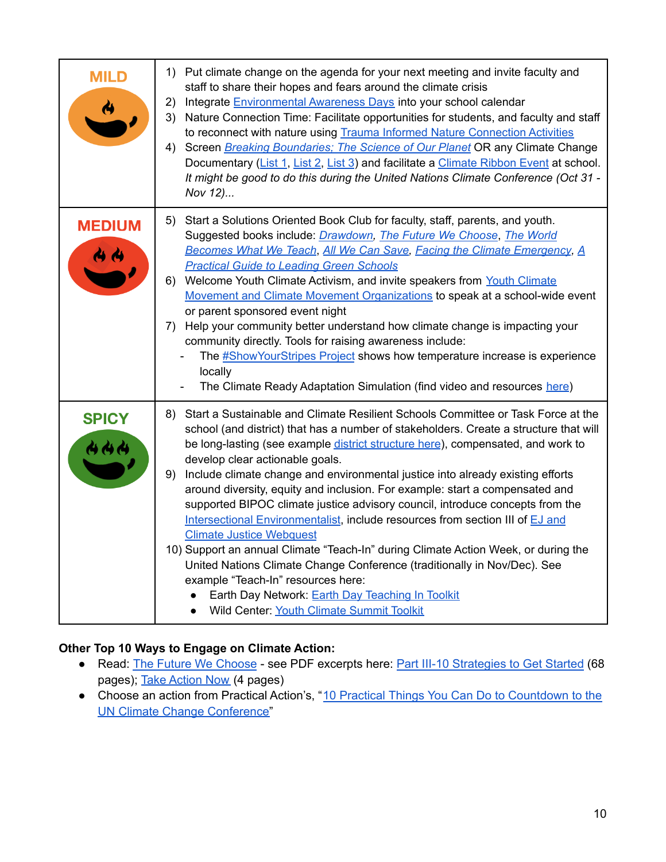| <b>MILD</b>   | 1) Put climate change on the agenda for your next meeting and invite faculty and<br>staff to share their hopes and fears around the climate crisis<br>2) Integrate Environmental Awareness Days into your school calendar<br>3) Nature Connection Time: Facilitate opportunities for students, and faculty and staff<br>to reconnect with nature using Trauma Informed Nature Connection Activities<br>4) Screen Breaking Boundaries; The Science of Our Planet OR any Climate Change<br>Documentary (List 1, List 2, List 3) and facilitate a Climate Ribbon Event at school.<br>It might be good to do this during the United Nations Climate Conference (Oct 31 -<br>Nov 12)                                                                                                                                                                                                                                                                                                       |
|---------------|---------------------------------------------------------------------------------------------------------------------------------------------------------------------------------------------------------------------------------------------------------------------------------------------------------------------------------------------------------------------------------------------------------------------------------------------------------------------------------------------------------------------------------------------------------------------------------------------------------------------------------------------------------------------------------------------------------------------------------------------------------------------------------------------------------------------------------------------------------------------------------------------------------------------------------------------------------------------------------------|
| <b>MEDIUM</b> | 5) Start a Solutions Oriented Book Club for faculty, staff, parents, and youth.<br>Suggested books include: <i>Drawdown</i> , <i>The Future We Choose</i> , <i>The World</i><br>Becomes What We Teach, All We Can Save, Facing the Climate Emergency, A<br><b>Practical Guide to Leading Green Schools</b><br>6) Welcome Youth Climate Activism, and invite speakers from Youth Climate<br>Movement and Climate Movement Organizations to speak at a school-wide event<br>or parent sponsored event night<br>7) Help your community better understand how climate change is impacting your<br>community directly. Tools for raising awareness include:<br>The #ShowYourStripes Project shows how temperature increase is experience<br>locally<br>The Climate Ready Adaptation Simulation (find video and resources here)                                                                                                                                                             |
| <b>SPICY</b>  | 8) Start a Sustainable and Climate Resilient Schools Committee or Task Force at the<br>school (and district) that has a number of stakeholders. Create a structure that will<br>be long-lasting (see example district structure here), compensated, and work to<br>develop clear actionable goals.<br>9) Include climate change and environmental justice into already existing efforts<br>around diversity, equity and inclusion. For example: start a compensated and<br>supported BIPOC climate justice advisory council, introduce concepts from the<br>Intersectional Environmentalist, include resources from section III of EJ and<br><b>Climate Justice Webquest</b><br>10) Support an annual Climate "Teach-In" during Climate Action Week, or during the<br>United Nations Climate Change Conference (traditionally in Nov/Dec). See<br>example "Teach-In" resources here:<br>Earth Day Network: Earth Day Teaching In Toolkit<br>Wild Center: Youth Climate Summit Toolkit |

#### **Other Top 10 Ways to Engage on Climate Action:**

- Read: The Future We [Choose](http://www.globaloptimism.com/the-future-we-choose) see PDF excerpts here: Part III-10 [Strategies](https://drive.google.com/file/d/1c9W8G7eT-T1nRxEj3vHxxIwxLe0-pSNl/view?usp=sharing) to Get Started (68 pages); Take [Action](https://drive.google.com/file/d/1cschrWON2Edgb0hkmPkYTUuvJfL6PE21/view?usp=sharing) Now (4 pages)
- Choose an action from Practical Action's, "10 Practical Things You Can Do to [Countdown](https://practicalaction.org/news-media/2021/06/02/supporting-cop26-10-practical-things-you-can-do-in-the-countdown-to-the-un-climate-change-conference/?gclid=CjwKCAjwjdOIBhA_EiwAHz8xm1DTGK9o6f7ObmEWKsJWEkGCx5O6QbTqIfiT_kPzjLnh43u7Lc_JUxoCXcQQAvD_BwE) to the UN Climate Change [Conference"](https://practicalaction.org/news-media/2021/06/02/supporting-cop26-10-practical-things-you-can-do-in-the-countdown-to-the-un-climate-change-conference/?gclid=CjwKCAjwjdOIBhA_EiwAHz8xm1DTGK9o6f7ObmEWKsJWEkGCx5O6QbTqIfiT_kPzjLnh43u7Lc_JUxoCXcQQAvD_BwE)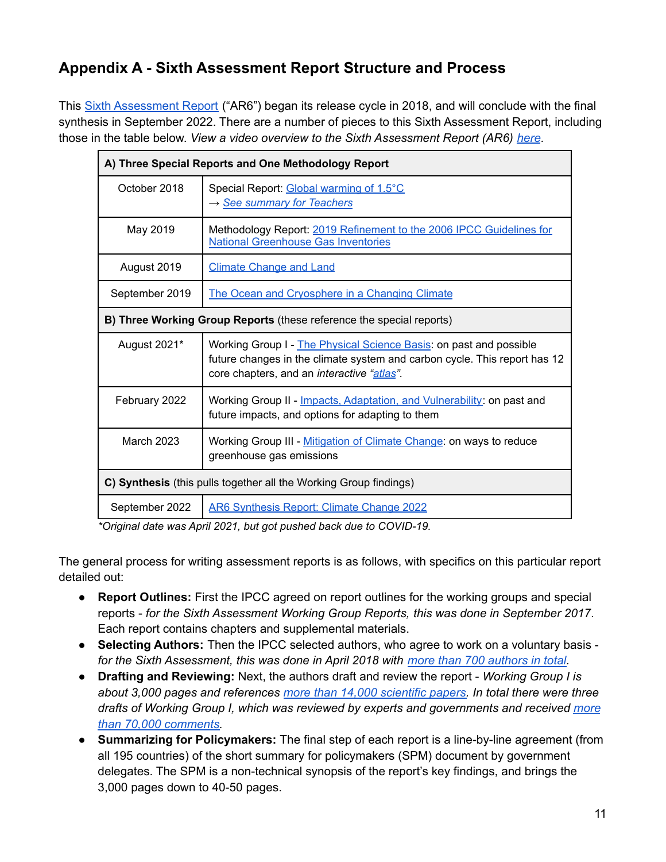# <span id="page-10-0"></span>**Appendix A - Sixth Assessment Report Structure and Process**

This Sixth [Assessment](https://www.ipcc.ch/assessment-report/ar6/) Report ("AR6") began its release cycle in 2018, and will conclude with the final synthesis in September 2022. There are a number of pieces to this Sixth Assessment Report, including those in the table below. *View a video overview to the Sixth Assessment Report (AR6) [here](https://vimeo.com/561313700).*

| A) Three Special Reports and One Methodology Report                  |                                                                                                                                                                                               |  |  |
|----------------------------------------------------------------------|-----------------------------------------------------------------------------------------------------------------------------------------------------------------------------------------------|--|--|
| October 2018                                                         | Special Report: Global warming of 1.5°C<br>$\rightarrow$ See summary for Teachers                                                                                                             |  |  |
| May 2019                                                             | Methodology Report: 2019 Refinement to the 2006 IPCC Guidelines for<br><b>National Greenhouse Gas Inventories</b>                                                                             |  |  |
| August 2019                                                          | <b>Climate Change and Land</b>                                                                                                                                                                |  |  |
| September 2019                                                       | The Ocean and Cryosphere in a Changing Climate                                                                                                                                                |  |  |
| B) Three Working Group Reports (these reference the special reports) |                                                                                                                                                                                               |  |  |
| August 2021*                                                         | Working Group I - The Physical Science Basis: on past and possible<br>future changes in the climate system and carbon cycle. This report has 12<br>core chapters, and an interactive "atlas". |  |  |
| February 2022                                                        | Working Group II - Impacts, Adaptation, and Vulnerability: on past and<br>future impacts, and options for adapting to them                                                                    |  |  |
| March 2023                                                           | Working Group III - Mitigation of Climate Change: on ways to reduce<br>greenhouse gas emissions                                                                                               |  |  |
| C) Synthesis (this pulls together all the Working Group findings)    |                                                                                                                                                                                               |  |  |
| September 2022                                                       | <b>AR6 Synthesis Report: Climate Change 2022</b>                                                                                                                                              |  |  |

*\*Original date was April 2021, but got pushed back due to COVID-19.*

The general process for writing assessment reports is as follows, with specifics on this particular report detailed out:

- **Report Outlines:** First the IPCC agreed on report outlines for the working groups and special reports - *for the Sixth Assessment Working Group Reports, this was done in September 2017*. Each report contains chapters and supplemental materials.
- **Selecting Authors:** Then the IPCC selected authors, who agree to work on a voluntary basis *for the Sixth Assessment, this was done in April 2018 with more than 700 [authors](https://www.carbonbrief.org/analysis-gender-nationality-institution-ipcc-ar6-authors) in total.*
- **Drafting and Reviewing:** Next, the authors draft and review the report *Working Group I is about 3,000 pages and references more than 14,000 [scientific](https://www.ipcc.ch/2021/06/29/wg1-ar6-release-date-and-approval-session-details/) papers. In total there were three drafts of Working Group I, which was reviewed by experts and governments and received [more](https://www.ipcc.ch/2021/06/29/wg1-ar6-release-date-and-approval-session-details/) than 70,000 [comments.](https://www.ipcc.ch/2021/06/29/wg1-ar6-release-date-and-approval-session-details/)*
- **Summarizing for Policymakers:** The final step of each report is a line-by-line agreement (from all 195 countries) of the short summary for policymakers (SPM) document by government delegates. The SPM is a non-technical synopsis of the report's key findings, and brings the 3,000 pages down to 40-50 pages.